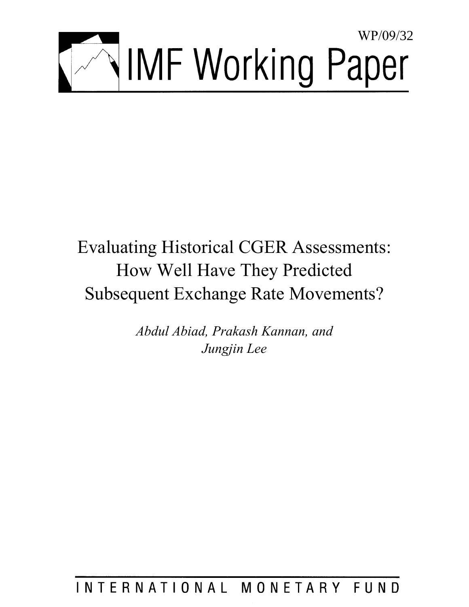

# Evaluating Historical CGER Assessments: How Well Have They Predicted Subsequent Exchange Rate Movements?

*Abdul Abiad, Prakash Kannan, and Jungjin Lee* 

## INTERNATIONAL MONETARY FUND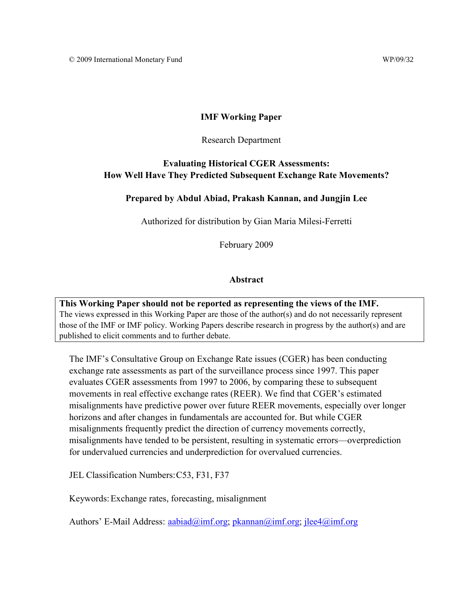## **IMF Working Paper**

#### Research Department

## **Evaluating Historical CGER Assessments: How Well Have They Predicted Subsequent Exchange Rate Movements?**

## **Prepared by Abdul Abiad, Prakash Kannan, and Jungjin Lee**

Authorized for distribution by Gian Maria Milesi-Ferretti

February 2009

#### **Abstract**

**This Working Paper should not be reported as representing the views of the IMF.** The views expressed in this Working Paper are those of the author(s) and do not necessarily represent those of the IMF or IMF policy. Working Papers describe research in progress by the author(s) and are published to elicit comments and to further debate.

The IMF's Consultative Group on Exchange Rate issues (CGER) has been conducting exchange rate assessments as part of the surveillance process since 1997. This paper evaluates CGER assessments from 1997 to 2006, by comparing these to subsequent movements in real effective exchange rates (REER). We find that CGER's estimated misalignments have predictive power over future REER movements, especially over longer horizons and after changes in fundamentals are accounted for. But while CGER misalignments frequently predict the direction of currency movements correctly, misalignments have tended to be persistent, resulting in systematic errors—overprediction for undervalued currencies and underprediction for overvalued currencies.

JEL Classification Numbers: C53, F31, F37

Keywords: Exchange rates, forecasting, misalignment

Authors' E-Mail Address: aabiad@imf.org; pkannan@imf.org; jlee4@imf.org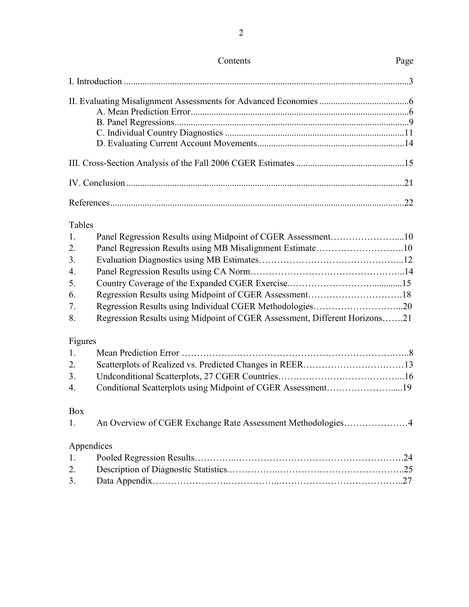| <b>Tables</b> |                                                                            |  |
|---------------|----------------------------------------------------------------------------|--|
| 1.            | Panel Regression Results using Midpoint of CGER Assessment10               |  |
| 2.            | Panel Regression Results using MB Misalignment Estimate10                  |  |
| 3.            |                                                                            |  |
| 4.            |                                                                            |  |
| 5.            |                                                                            |  |
| 6.            |                                                                            |  |
| 7.            |                                                                            |  |
| 8.            | Regression Results using Midpoint of CGER Assessment, Different Horizons21 |  |
| Figures       |                                                                            |  |
| 1.            |                                                                            |  |
| 2.            |                                                                            |  |
| 3.            |                                                                            |  |
| 4.            | Conditional Scatterplots using Midpoint of CGER Assessment19               |  |
| Box           |                                                                            |  |
| 1.            | An Overview of CGER Exchange Rate Assessment Methodologies4                |  |
|               | Appendices                                                                 |  |
| 1.            |                                                                            |  |
| 2.            |                                                                            |  |
| 3.            |                                                                            |  |
|               |                                                                            |  |

## Contents Page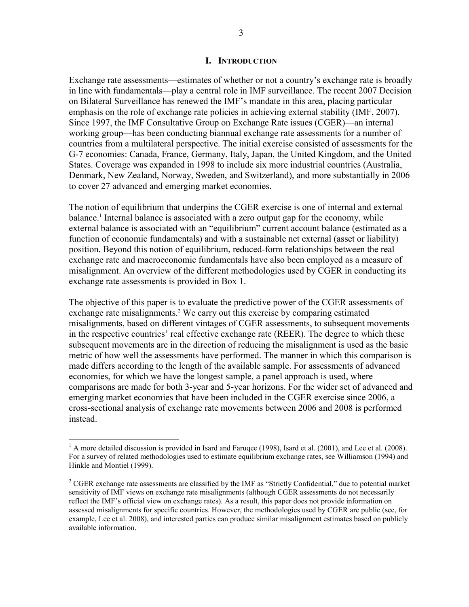#### **I. INTRODUCTION**

Exchange rate assessments—estimates of whether or not a country's exchange rate is broadly in line with fundamentals—play a central role in IMF surveillance. The recent 2007 Decision on Bilateral Surveillance has renewed the IMF's mandate in this area, placing particular emphasis on the role of exchange rate policies in achieving external stability (IMF, 2007). Since 1997, the IMF Consultative Group on Exchange Rate issues (CGER)—an internal working group—has been conducting biannual exchange rate assessments for a number of countries from a multilateral perspective. The initial exercise consisted of assessments for the G-7 economies: Canada, France, Germany, Italy, Japan, the United Kingdom, and the United States. Coverage was expanded in 1998 to include six more industrial countries (Australia, Denmark, New Zealand, Norway, Sweden, and Switzerland), and more substantially in 2006 to cover 27 advanced and emerging market economies.

The notion of equilibrium that underpins the CGER exercise is one of internal and external balance.<sup>1</sup> Internal balance is associated with a zero output gap for the economy, while external balance is associated with an "equilibrium" current account balance (estimated as a function of economic fundamentals) and with a sustainable net external (asset or liability) position. Beyond this notion of equilibrium, reduced-form relationships between the real exchange rate and macroeconomic fundamentals have also been employed as a measure of misalignment. An overview of the different methodologies used by CGER in conducting its exchange rate assessments is provided in Box 1.

The objective of this paper is to evaluate the predictive power of the CGER assessments of exchange rate misalignments.<sup>2</sup> We carry out this exercise by comparing estimated misalignments, based on different vintages of CGER assessments, to subsequent movements in the respective countries' real effective exchange rate (REER). The degree to which these subsequent movements are in the direction of reducing the misalignment is used as the basic metric of how well the assessments have performed. The manner in which this comparison is made differs according to the length of the available sample. For assessments of advanced economies, for which we have the longest sample, a panel approach is used, where comparisons are made for both 3-year and 5-year horizons. For the wider set of advanced and emerging market economies that have been included in the CGER exercise since 2006, a cross-sectional analysis of exchange rate movements between 2006 and 2008 is performed instead.

 $\overline{a}$ 

 $<sup>1</sup>$  A more detailed discussion is provided in Isard and Faruqee (1998), Isard et al. (2001), and Lee et al. (2008).</sup> For a survey of related methodologies used to estimate equilibrium exchange rates, see Williamson (1994) and Hinkle and Montiel (1999).

 $2^2$  CGER exchange rate assessments are classified by the IMF as "Strictly Confidential," due to potential market sensitivity of IMF views on exchange rate misalignments (although CGER assessments do not necessarily reflect the IMF's official view on exchange rates). As a result, this paper does not provide information on assessed misalignments for specific countries. However, the methodologies used by CGER are public (see, for example, Lee et al. 2008), and interested parties can produce similar misalignment estimates based on publicly available information.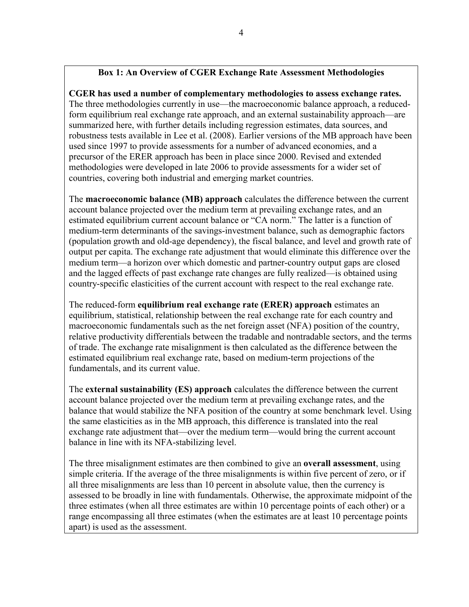## **Box 1: An Overview of CGER Exchange Rate Assessment Methodologies**

**CGER has used a number of complementary methodologies to assess exchange rates.** The three methodologies currently in use—the macroeconomic balance approach, a reducedform equilibrium real exchange rate approach, and an external sustainability approach—are summarized here, with further details including regression estimates, data sources, and robustness tests available in Lee et al. (2008). Earlier versions of the MB approach have been used since 1997 to provide assessments for a number of advanced economies, and a precursor of the ERER approach has been in place since 2000. Revised and extended methodologies were developed in late 2006 to provide assessments for a wider set of countries, covering both industrial and emerging market countries.

The **macroeconomic balance (MB) approach** calculates the difference between the current account balance projected over the medium term at prevailing exchange rates, and an estimated equilibrium current account balance or "CA norm." The latter is a function of medium-term determinants of the savings-investment balance, such as demographic factors (population growth and old-age dependency), the fiscal balance, and level and growth rate of output per capita. The exchange rate adjustment that would eliminate this difference over the medium term—a horizon over which domestic and partner-country output gaps are closed and the lagged effects of past exchange rate changes are fully realized—is obtained using country-specific elasticities of the current account with respect to the real exchange rate.

The reduced-form **equilibrium real exchange rate (ERER) approach** estimates an equilibrium, statistical, relationship between the real exchange rate for each country and macroeconomic fundamentals such as the net foreign asset (NFA) position of the country, relative productivity differentials between the tradable and nontradable sectors, and the terms of trade. The exchange rate misalignment is then calculated as the difference between the estimated equilibrium real exchange rate, based on medium-term projections of the fundamentals, and its current value.

The **external sustainability (ES) approach** calculates the difference between the current account balance projected over the medium term at prevailing exchange rates, and the balance that would stabilize the NFA position of the country at some benchmark level. Using the same elasticities as in the MB approach, this difference is translated into the real exchange rate adjustment that—over the medium term—would bring the current account balance in line with its NFA-stabilizing level.

The three misalignment estimates are then combined to give an **overall assessment**, using simple criteria. If the average of the three misalignments is within five percent of zero, or if all three misalignments are less than 10 percent in absolute value, then the currency is assessed to be broadly in line with fundamentals. Otherwise, the approximate midpoint of the three estimates (when all three estimates are within 10 percentage points of each other) or a range encompassing all three estimates (when the estimates are at least 10 percentage points apart) is used as the assessment.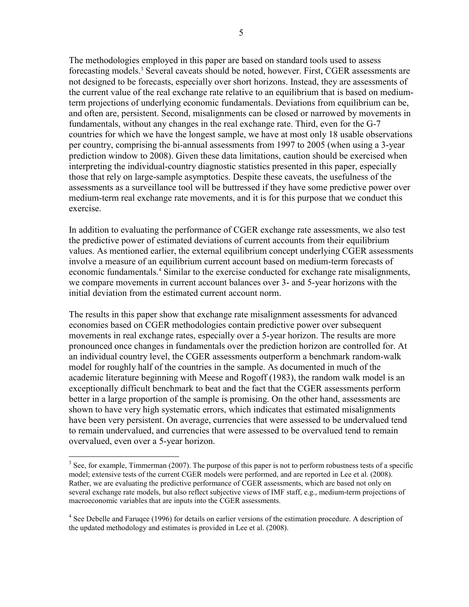The methodologies employed in this paper are based on standard tools used to assess forecasting models.<sup>3</sup> Several caveats should be noted, however. First, CGER assessments are not designed to be forecasts, especially over short horizons. Instead, they are assessments of the current value of the real exchange rate relative to an equilibrium that is based on mediumterm projections of underlying economic fundamentals. Deviations from equilibrium can be, and often are, persistent. Second, misalignments can be closed or narrowed by movements in fundamentals, without any changes in the real exchange rate. Third, even for the G-7 countries for which we have the longest sample, we have at most only 18 usable observations per country, comprising the bi-annual assessments from 1997 to 2005 (when using a 3-year prediction window to 2008). Given these data limitations, caution should be exercised when interpreting the individual-country diagnostic statistics presented in this paper, especially those that rely on large-sample asymptotics. Despite these caveats, the usefulness of the assessments as a surveillance tool will be buttressed if they have some predictive power over medium-term real exchange rate movements, and it is for this purpose that we conduct this exercise.

In addition to evaluating the performance of CGER exchange rate assessments, we also test the predictive power of estimated deviations of current accounts from their equilibrium values. As mentioned earlier, the external equilibrium concept underlying CGER assessments involve a measure of an equilibrium current account based on medium-term forecasts of economic fundamentals.<sup>4</sup> Similar to the exercise conducted for exchange rate misalignments, we compare movements in current account balances over 3- and 5-year horizons with the initial deviation from the estimated current account norm.

The results in this paper show that exchange rate misalignment assessments for advanced economies based on CGER methodologies contain predictive power over subsequent movements in real exchange rates, especially over a 5-year horizon. The results are more pronounced once changes in fundamentals over the prediction horizon are controlled for. At an individual country level, the CGER assessments outperform a benchmark random-walk model for roughly half of the countries in the sample. As documented in much of the academic literature beginning with Meese and Rogoff (1983), the random walk model is an exceptionally difficult benchmark to beat and the fact that the CGER assessments perform better in a large proportion of the sample is promising. On the other hand, assessments are shown to have very high systematic errors, which indicates that estimated misalignments have been very persistent. On average, currencies that were assessed to be undervalued tend to remain undervalued, and currencies that were assessed to be overvalued tend to remain overvalued, even over a 5-year horizon.

 $\overline{a}$ 

 $3$  See, for example, Timmerman (2007). The purpose of this paper is not to perform robustness tests of a specific model; extensive tests of the current CGER models were performed, and are reported in Lee et al. (2008). Rather, we are evaluating the predictive performance of CGER assessments, which are based not only on several exchange rate models, but also reflect subjective views of IMF staff, e.g., medium-term projections of macroeconomic variables that are inputs into the CGER assessments.

<sup>&</sup>lt;sup>4</sup> See Debelle and Faruqee (1996) for details on earlier versions of the estimation procedure. A description of the updated methodology and estimates is provided in Lee et al. (2008).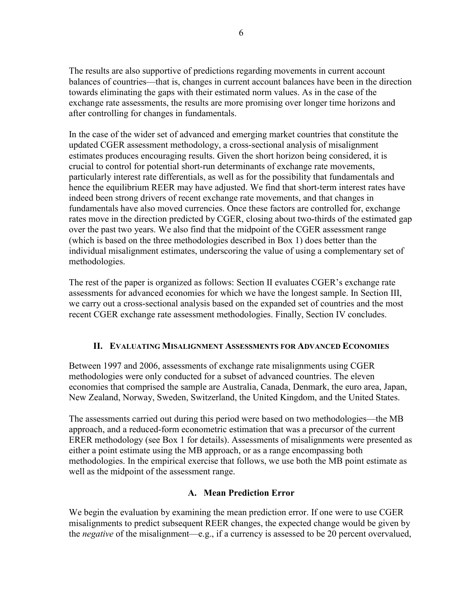The results are also supportive of predictions regarding movements in current account balances of countries—that is, changes in current account balances have been in the direction towards eliminating the gaps with their estimated norm values. As in the case of the exchange rate assessments, the results are more promising over longer time horizons and after controlling for changes in fundamentals.

In the case of the wider set of advanced and emerging market countries that constitute the updated CGER assessment methodology, a cross-sectional analysis of misalignment estimates produces encouraging results. Given the short horizon being considered, it is crucial to control for potential short-run determinants of exchange rate movements, particularly interest rate differentials, as well as for the possibility that fundamentals and hence the equilibrium REER may have adjusted. We find that short-term interest rates have indeed been strong drivers of recent exchange rate movements, and that changes in fundamentals have also moved currencies. Once these factors are controlled for, exchange rates move in the direction predicted by CGER, closing about two-thirds of the estimated gap over the past two years. We also find that the midpoint of the CGER assessment range (which is based on the three methodologies described in Box 1) does better than the individual misalignment estimates, underscoring the value of using a complementary set of methodologies.

The rest of the paper is organized as follows: Section II evaluates CGER's exchange rate assessments for advanced economies for which we have the longest sample. In Section III, we carry out a cross-sectional analysis based on the expanded set of countries and the most recent CGER exchange rate assessment methodologies. Finally, Section IV concludes.

## **II. EVALUATING MISALIGNMENT ASSESSMENTS FOR ADVANCED ECONOMIES**

Between 1997 and 2006, assessments of exchange rate misalignments using CGER methodologies were only conducted for a subset of advanced countries. The eleven economies that comprised the sample are Australia, Canada, Denmark, the euro area, Japan, New Zealand, Norway, Sweden, Switzerland, the United Kingdom, and the United States.

The assessments carried out during this period were based on two methodologies—the MB approach, and a reduced-form econometric estimation that was a precursor of the current ERER methodology (see Box 1 for details). Assessments of misalignments were presented as either a point estimate using the MB approach, or as a range encompassing both methodologies. In the empirical exercise that follows, we use both the MB point estimate as well as the midpoint of the assessment range.

## **A. Mean Prediction Error**

We begin the evaluation by examining the mean prediction error. If one were to use CGER misalignments to predict subsequent REER changes, the expected change would be given by the *negative* of the misalignment—e.g., if a currency is assessed to be 20 percent overvalued,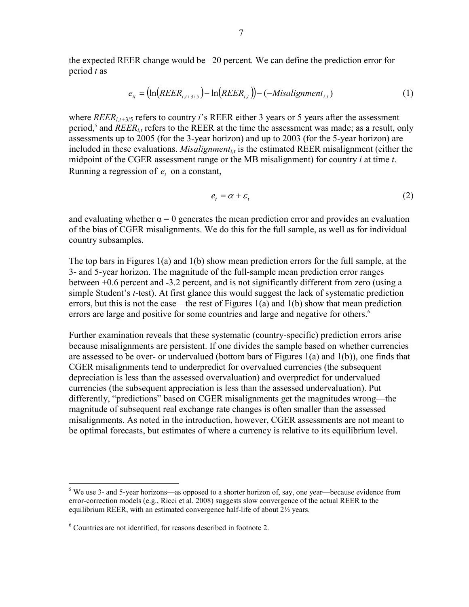the expected REER change would be –20 percent. We can define the prediction error for period *t* as

$$
e_{it} = (\ln(REER_{i,t+3/5}) - \ln(REER_{i,t})) - (-Misalignment_{i,t})
$$
\n(1)

where  $REER_{i,t+3/5}$  refers to country *i*'s REER either 3 years or 5 years after the assessment period,<sup>5</sup> and *REER<sub>i,t</sub>* refers to the REER at the time the assessment was made; as a result, only assessments up to 2005 (for the 3-year horizon) and up to 2003 (for the 5-year horizon) are included in these evaluations. *Misalignment<sub>i,t</sub>* is the estimated REER misalignment (either the midpoint of the CGER assessment range or the MB misalignment) for country *i* at time *t*. Running a regression of  $e_t$  on a constant,

$$
e_t = \alpha + \varepsilon_t \tag{2}
$$

and evaluating whether  $\alpha = 0$  generates the mean prediction error and provides an evaluation of the bias of CGER misalignments. We do this for the full sample, as well as for individual country subsamples.

The top bars in Figures 1(a) and 1(b) show mean prediction errors for the full sample, at the 3- and 5-year horizon. The magnitude of the full-sample mean prediction error ranges between +0.6 percent and -3.2 percent, and is not significantly different from zero (using a simple Student's *t*-test). At first glance this would suggest the lack of systematic prediction errors, but this is not the case—the rest of Figures 1(a) and 1(b) show that mean prediction errors are large and positive for some countries and large and negative for others.<sup>6</sup>

Further examination reveals that these systematic (country-specific) prediction errors arise because misalignments are persistent. If one divides the sample based on whether currencies are assessed to be over- or undervalued (bottom bars of Figures  $1(a)$  and  $1(b)$ ), one finds that CGER misalignments tend to underpredict for overvalued currencies (the subsequent depreciation is less than the assessed overvaluation) and overpredict for undervalued currencies (the subsequent appreciation is less than the assessed undervaluation). Put differently, "predictions" based on CGER misalignments get the magnitudes wrong—the magnitude of subsequent real exchange rate changes is often smaller than the assessed misalignments. As noted in the introduction, however, CGER assessments are not meant to be optimal forecasts, but estimates of where a currency is relative to its equilibrium level.

1

 $<sup>5</sup>$  We use 3- and 5-year horizons—as opposed to a shorter horizon of, say, one year—because evidence from</sup> error-correction models (e.g., Ricci et al. 2008) suggests slow convergence of the actual REER to the equilibrium REER, with an estimated convergence half-life of about 2½ years.

<sup>6</sup> Countries are not identified, for reasons described in footnote 2.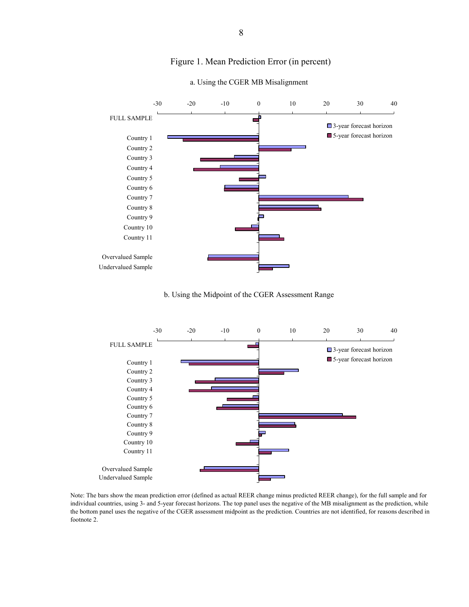

#### Figure 1. Mean Prediction Error (in percent)



b. Using the Midpoint of the CGER Assessment Range



Note: The bars show the mean prediction error (defined as actual REER change minus predicted REER change), for the full sample and for individual countries, using 3- and 5-year forecast horizons. The top panel uses the negative of the MB misalignment as the prediction, while the bottom panel uses the negative of the CGER assessment midpoint as the prediction. Countries are not identified, for reasons described in footnote 2.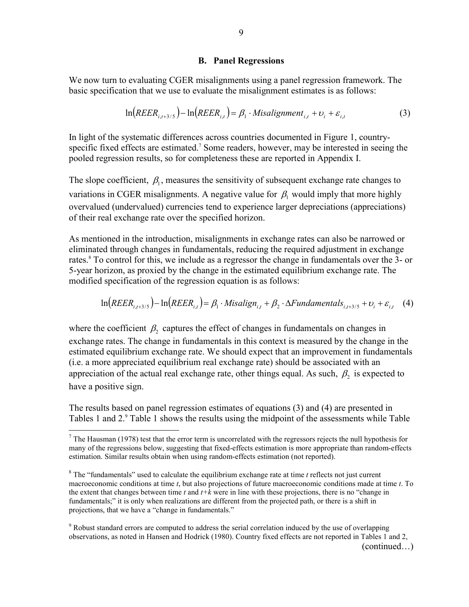#### **B. Panel Regressions**

We now turn to evaluating CGER misalignments using a panel regression framework. The basic specification that we use to evaluate the misalignment estimates is as follows:

$$
\ln\left(REER_{i,t+3/5}\right) - \ln\left(REER_{i,t}\right) = \beta_1 \cdot Misalignment_{i,t} + \nu_i + \varepsilon_{i,t}
$$
 (3)

In light of the systematic differences across countries documented in Figure 1, countryspecific fixed effects are estimated.<sup>7</sup> Some readers, however, may be interested in seeing the pooled regression results, so for completeness these are reported in Appendix I.

The slope coefficient,  $\beta_1$ , measures the sensitivity of subsequent exchange rate changes to variations in CGER misalignments. A negative value for  $\beta_1$  would imply that more highly overvalued (undervalued) currencies tend to experience larger depreciations (appreciations) of their real exchange rate over the specified horizon.

As mentioned in the introduction, misalignments in exchange rates can also be narrowed or eliminated through changes in fundamentals, reducing the required adjustment in exchange rates.<sup>8</sup> To control for this, we include as a regressor the change in fundamentals over the 3- or 5-year horizon, as proxied by the change in the estimated equilibrium exchange rate. The modified specification of the regression equation is as follows:

$$
\ln\left(REER_{i,t+3/5}\right) - \ln\left(REER_{i,t}\right) = \beta_1 \cdot Misalign_{i,t} + \beta_2 \cdot \Delta Fundamentals_{i,t+3/5} + \nu_i + \varepsilon_{i,t} \tag{4}
$$

where the coefficient  $\beta$ , captures the effect of changes in fundamentals on changes in exchange rates. The change in fundamentals in this context is measured by the change in the estimated equilibrium exchange rate. We should expect that an improvement in fundamentals (i.e. a more appreciated equilibrium real exchange rate) should be associated with an appreciation of the actual real exchange rate, other things equal. As such,  $\beta_2$  is expected to have a positive sign.

The results based on panel regression estimates of equations (3) and (4) are presented in Tables 1 and 2.<sup>9</sup> Table 1 shows the results using the midpoint of the assessments while Table

 $\overline{a}$ 

<sup>9</sup> Robust standard errors are computed to address the serial correlation induced by the use of overlapping observations, as noted in Hansen and Hodrick (1980). Country fixed effects are not reported in Tables 1 and 2,

9

 $<sup>7</sup>$  The Hausman (1978) test that the error term is uncorrelated with the regressors rejects the null hypothesis for</sup> many of the regressions below, suggesting that fixed-effects estimation is more appropriate than random-effects estimation. Similar results obtain when using random-effects estimation (not reported).

 $8$ <sup>8</sup> The "fundamentals" used to calculate the equilibrium exchange rate at time  $t$  reflects not just current macroeconomic conditions at time *t*, but also projections of future macroeconomic conditions made at time *t*. To the extent that changes between time *t* and *t+k* were in line with these projections, there is no "change in fundamentals;" it is only when realizations are different from the projected path, or there is a shift in projections, that we have a "change in fundamentals."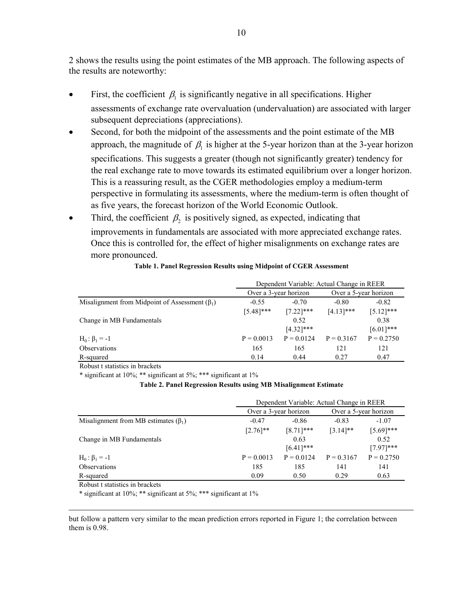2 shows the results using the point estimates of the MB approach. The following aspects of the results are noteworthy:

- First, the coefficient  $\beta_1$  is significantly negative in all specifications. Higher assessments of exchange rate overvaluation (undervaluation) are associated with larger subsequent depreciations (appreciations).
- Second, for both the midpoint of the assessments and the point estimate of the MB approach, the magnitude of  $\beta_1$  is higher at the 5-year horizon than at the 3-year horizon specifications. This suggests a greater (though not significantly greater) tendency for the real exchange rate to move towards its estimated equilibrium over a longer horizon. This is a reassuring result, as the CGER methodologies employ a medium-term perspective in formulating its assessments, where the medium-term is often thought of as five years, the forecast horizon of the World Economic Outlook.
- Third, the coefficient  $\beta_2$  is positively signed, as expected, indicating that improvements in fundamentals are associated with more appreciated exchange rates. Once this is controlled for, the effect of higher misalignments on exchange rates are more pronounced.

|                                                      | Dependent Variable: Actual Change in REER |              |              |                       |
|------------------------------------------------------|-------------------------------------------|--------------|--------------|-----------------------|
|                                                      | Over a 3-year horizon                     |              |              | Over a 5-year horizon |
| Misalignment from Midpoint of Assessment $(\beta_1)$ | $-0.55$                                   | $-0.70$      | $-0.80$      | $-0.82$               |
|                                                      | $[5.48]$ ***                              | $[7.22]$ *** | $[4.13]$ *** | $[5.12]$ ***          |
| Change in MB Fundamentals                            |                                           | 0.52         |              | 0.38                  |
|                                                      |                                           | $[4.32]$ *** |              | $[6.01]$ ***          |
| $H_0: \beta_1 = -1$                                  | $P = 0.0013$                              | $P = 0.0124$ | $P = 0.3167$ | $P = 0.2750$          |
| <b>Observations</b>                                  | 165                                       | 165          | 121          | 121                   |
| R-squared                                            | 0.14                                      | 0.44         | 0.27         | 0.47                  |

#### **Table 1. Panel Regression Results using Midpoint of CGER Assessment**

Robust t statistics in brackets

\* significant at 10%; \*\* significant at 5%; \*\*\* significant at 1%

#### **Table 2. Panel Regression Results using MB Misalignment Estimate**

|                                            | Dependent Variable: Actual Change in REER      |              |              |              |
|--------------------------------------------|------------------------------------------------|--------------|--------------|--------------|
|                                            | Over a 3-year horizon<br>Over a 5-year horizon |              |              |              |
| Misalignment from MB estimates $(\beta_1)$ | $-0.47$                                        | $-0.86$      | $-0.83$      | $-1.07$      |
|                                            | $[2.76]$ **                                    | $[8.71]$ *** | $[3.14]$ **  | $[5.69]$ *** |
| Change in MB Fundamentals                  |                                                | 0.63         |              | 0.52         |
|                                            |                                                | $[6.41]$ *** |              | $[7.97]$ *** |
| $H_0: \beta_1 = -1$                        | $P = 0.0013$                                   | $P = 0.0124$ | $P = 0.3167$ | $P = 0.2750$ |
| <b>Observations</b>                        | 185                                            | 185          | 141          | 141          |
| R-squared                                  | 0.09                                           | 0.50         | 0.29         | 0.63         |

Robust t statistics in brackets

<u>.</u>

\* significant at 10%; \*\* significant at 5%; \*\*\* significant at 1%

but follow a pattern very similar to the mean prediction errors reported in Figure 1; the correlation between them is 0.98.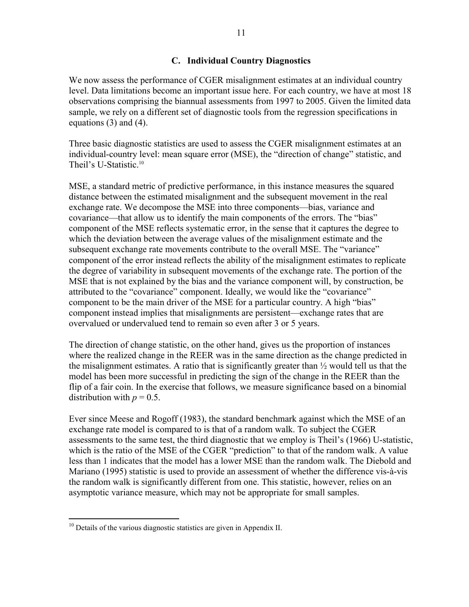## **C. Individual Country Diagnostics**

We now assess the performance of CGER misalignment estimates at an individual country level. Data limitations become an important issue here. For each country, we have at most 18 observations comprising the biannual assessments from 1997 to 2005. Given the limited data sample, we rely on a different set of diagnostic tools from the regression specifications in equations (3) and (4).

Three basic diagnostic statistics are used to assess the CGER misalignment estimates at an individual-country level: mean square error (MSE), the "direction of change" statistic, and Theil's U-Statistic.<sup>10</sup>

MSE, a standard metric of predictive performance, in this instance measures the squared distance between the estimated misalignment and the subsequent movement in the real exchange rate. We decompose the MSE into three components—bias, variance and covariance—that allow us to identify the main components of the errors. The "bias" component of the MSE reflects systematic error, in the sense that it captures the degree to which the deviation between the average values of the misalignment estimate and the subsequent exchange rate movements contribute to the overall MSE. The "variance" component of the error instead reflects the ability of the misalignment estimates to replicate the degree of variability in subsequent movements of the exchange rate. The portion of the MSE that is not explained by the bias and the variance component will, by construction, be attributed to the "covariance" component. Ideally, we would like the "covariance" component to be the main driver of the MSE for a particular country. A high "bias" component instead implies that misalignments are persistent—exchange rates that are overvalued or undervalued tend to remain so even after 3 or 5 years.

The direction of change statistic, on the other hand, gives us the proportion of instances where the realized change in the REER was in the same direction as the change predicted in the misalignment estimates. A ratio that is significantly greater than  $\frac{1}{2}$  would tell us that the model has been more successful in predicting the sign of the change in the REER than the flip of a fair coin. In the exercise that follows, we measure significance based on a binomial distribution with  $p = 0.5$ .

Ever since Meese and Rogoff (1983), the standard benchmark against which the MSE of an exchange rate model is compared to is that of a random walk. To subject the CGER assessments to the same test, the third diagnostic that we employ is Theil's (1966) U-statistic, which is the ratio of the MSE of the CGER "prediction" to that of the random walk. A value less than 1 indicates that the model has a lower MSE than the random walk. The Diebold and Mariano (1995) statistic is used to provide an assessment of whether the difference vis-à-vis the random walk is significantly different from one. This statistic, however, relies on an asymptotic variance measure, which may not be appropriate for small samples.

1

 $10$  Details of the various diagnostic statistics are given in Appendix II.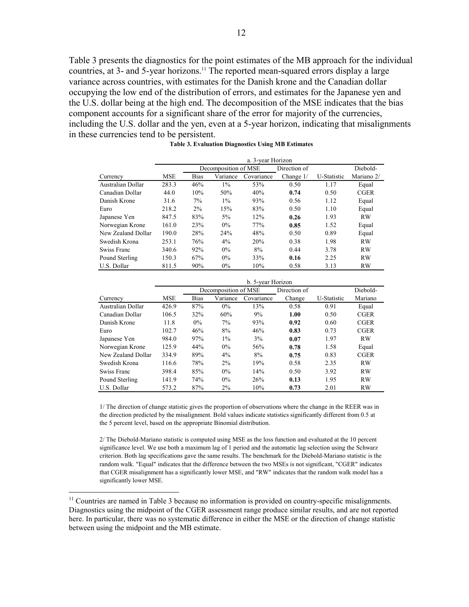Table 3 presents the diagnostics for the point estimates of the MB approach for the individual countries, at 3- and 5-year horizons.<sup>11</sup> The reported mean-squared errors display a large variance across countries, with estimates for the Danish krone and the Canadian dollar occupying the low end of the distribution of errors, and estimates for the Japanese yen and the U.S. dollar being at the high end. The decomposition of the MSE indicates that the bias component accounts for a significant share of the error for majority of the currencies, including the U.S. dollar and the yen, even at a 5-year horizon, indicating that misalignments in these currencies tend to be persistent.

|                    | a. 3-year Horizon |             |                      |            |              |             |             |
|--------------------|-------------------|-------------|----------------------|------------|--------------|-------------|-------------|
|                    |                   |             | Decomposition of MSE |            | Direction of |             | Diebold-    |
| Currency           | <b>MSE</b>        | <b>Bias</b> | Variance             | Covariance | Change $1/$  | U-Statistic | Mariano 2/  |
| Australian Dollar  | 283.3             | 46%         | $1\%$                | 53%        | 0.50         | 1.17        | Equal       |
| Canadian Dollar    | 44.0              | 10%         | 50%                  | 40%        | 0.74         | 0.50        | <b>CGER</b> |
| Danish Krone       | 31.6              | 7%          | $1\%$                | 93%        | 0.56         | 1.12        | Equal       |
| Euro               | 218.2             | $2\%$       | 15%                  | 83%        | 0.50         | 1.10        | Equal       |
| Japanese Yen       | 847.5             | 83%         | 5%                   | 12%        | 0.26         | 1.93        | <b>RW</b>   |
| Norwegian Krone    | 161.0             | 23%         | $0\%$                | 77%        | 0.85         | 1.52        | Equal       |
| New Zealand Dollar | 190.0             | 28%         | 24%                  | 48%        | 0.50         | 0.89        | Equal       |
| Swedish Krona      | 253.1             | 76%         | $4\%$                | 20%        | 0.38         | 1.98        | <b>RW</b>   |
| Swiss Franc        | 340.6             | 92%         | $0\%$                | 8%         | 0.44         | 3.78        | <b>RW</b>   |
| Pound Sterling     | 150.3             | 67%         | $0\%$                | 33%        | 0.16         | 2.25        | <b>RW</b>   |
| U.S. Dollar        | 811.5             | 90%         | $0\%$                | 10%        | 0.58         | 3.13        | <b>RW</b>   |

|  | Table 3. Evaluation Diagnostics Using MB Estimates |  |  |
|--|----------------------------------------------------|--|--|
|  |                                                    |  |  |
|  |                                                    |  |  |

|                    |            | b. 5-year Horizon |                      |            |              |             |             |
|--------------------|------------|-------------------|----------------------|------------|--------------|-------------|-------------|
|                    |            |                   | Decomposition of MSE |            | Direction of |             | Diebold-    |
| Currency           | <b>MSE</b> | <b>Bias</b>       | Variance             | Covariance | Change       | U-Statistic | Mariano     |
| Australian Dollar  | 426.9      | 87%               | $0\%$                | 13%        | 0.58         | 0.91        | Equal       |
| Canadian Dollar    | 106.5      | 32%               | 60%                  | 9%         | 1.00         | 0.50        | <b>CGER</b> |
| Danish Krone       | 11.8       | 0%                | $7\%$                | 93%        | 0.92         | 0.60        | <b>CGER</b> |
| Euro               | 102.7      | 46%               | 8%                   | 46%        | 0.83         | 0.73        | <b>CGER</b> |
| Japanese Yen       | 984.0      | 97%               | $1\%$                | 3%         | 0.07         | 1.97        | <b>RW</b>   |
| Norwegian Krone    | 125.9      | 44%               | $0\%$                | 56%        | 0.78         | 1.58        | Equal       |
| New Zealand Dollar | 334.9      | 89%               | $4\%$                | 8%         | 0.75         | 0.83        | <b>CGER</b> |
| Swedish Krona      | 116.6      | 78%               | $2\%$                | 19%        | 0.58         | 2.35        | <b>RW</b>   |
| Swiss Franc        | 398.4      | 85%               | $0\%$                | 14%        | 0.50         | 3.92        | <b>RW</b>   |
| Pound Sterling     | 141.9      | 74%               | $0\%$                | 26%        | 0.13         | 1.95        | <b>RW</b>   |
| U.S. Dollar        | 573.2      | 87%               | $2\%$                | 10%        | 0.73         | 2.01        | <b>RW</b>   |

1/ The direction of change statistic gives the proportion of observations where the change in the REER was in the direction predicted by the misalignment. Bold values indicate statistics significantly different from 0.5 at the 5 percent level, based on the appropriate Binomial distribution.

2/ The Diebold-Mariano statistic is computed using MSE as the loss function and evaluated at the 10 percent significance level. We use both a maximum lag of 1 period and the automatic lag selection using the Schwarz criterion. Both lag specifications gave the same results. The benchmark for the Diebold-Mariano statistic is the random walk. "Equal" indicates that the difference between the two MSEs is not significant, "CGER" indicates that CGER misalignment has a significantly lower MSE, and "RW" indicates that the random walk model has a significantly lower MSE.

 $\overline{a}$ 

 $11$  Countries are named in Table 3 because no information is provided on country-specific misalignments. Diagnostics using the midpoint of the CGER assessment range produce similar results, and are not reported here. In particular, there was no systematic difference in either the MSE or the direction of change statistic between using the midpoint and the MB estimate.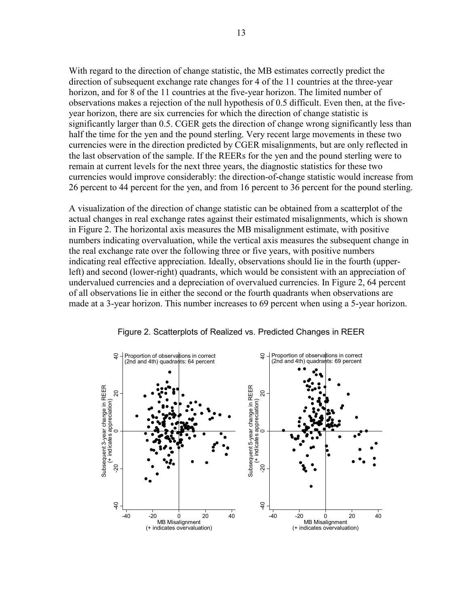With regard to the direction of change statistic, the MB estimates correctly predict the direction of subsequent exchange rate changes for 4 of the 11 countries at the three-year horizon, and for 8 of the 11 countries at the five-year horizon. The limited number of observations makes a rejection of the null hypothesis of 0.5 difficult. Even then, at the fiveyear horizon, there are six currencies for which the direction of change statistic is significantly larger than 0.5. CGER gets the direction of change wrong significantly less than half the time for the yen and the pound sterling. Very recent large movements in these two currencies were in the direction predicted by CGER misalignments, but are only reflected in the last observation of the sample. If the REERs for the yen and the pound sterling were to remain at current levels for the next three years, the diagnostic statistics for these two currencies would improve considerably: the direction-of-change statistic would increase from 26 percent to 44 percent for the yen, and from 16 percent to 36 percent for the pound sterling.

A visualization of the direction of change statistic can be obtained from a scatterplot of the actual changes in real exchange rates against their estimated misalignments, which is shown in Figure 2. The horizontal axis measures the MB misalignment estimate, with positive numbers indicating overvaluation, while the vertical axis measures the subsequent change in the real exchange rate over the following three or five years, with positive numbers indicating real effective appreciation. Ideally, observations should lie in the fourth (upperleft) and second (lower-right) quadrants, which would be consistent with an appreciation of undervalued currencies and a depreciation of overvalued currencies. In Figure 2, 64 percent of all observations lie in either the second or the fourth quadrants when observations are made at a 3-year horizon. This number increases to 69 percent when using a 5-year horizon.



Figure 2. Scatterplots of Realized vs. Predicted Changes in REER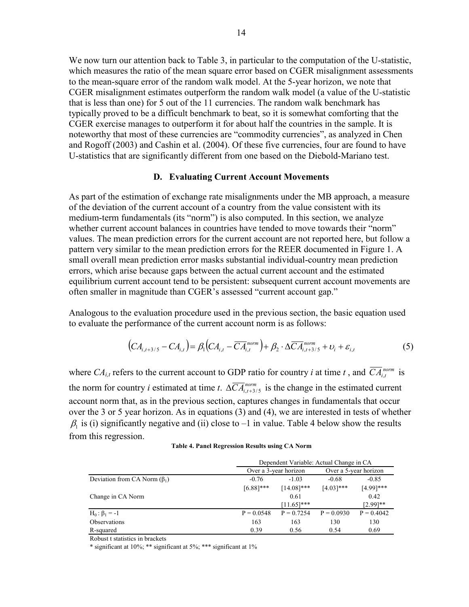We now turn our attention back to Table 3, in particular to the computation of the U-statistic, which measures the ratio of the mean square error based on CGER misalignment assessments to the mean-square error of the random walk model. At the 5-year horizon, we note that CGER misalignment estimates outperform the random walk model (a value of the U-statistic that is less than one) for 5 out of the 11 currencies. The random walk benchmark has typically proved to be a difficult benchmark to beat, so it is somewhat comforting that the CGER exercise manages to outperform it for about half the countries in the sample. It is noteworthy that most of these currencies are "commodity currencies", as analyzed in Chen and Rogoff (2003) and Cashin et al. (2004). Of these five currencies, four are found to have U-statistics that are significantly different from one based on the Diebold-Mariano test.

#### **D. Evaluating Current Account Movements**

As part of the estimation of exchange rate misalignments under the MB approach, a measure of the deviation of the current account of a country from the value consistent with its medium-term fundamentals (its "norm") is also computed. In this section, we analyze whether current account balances in countries have tended to move towards their "norm" values. The mean prediction errors for the current account are not reported here, but follow a pattern very similar to the mean prediction errors for the REER documented in Figure 1. A small overall mean prediction error masks substantial individual-country mean prediction errors, which arise because gaps between the actual current account and the estimated equilibrium current account tend to be persistent: subsequent current account movements are often smaller in magnitude than CGER's assessed "current account gap."

Analogous to the evaluation procedure used in the previous section, the basic equation used to evaluate the performance of the current account norm is as follows:

$$
\left(CA_{i,t+3/5} - CA_{i,t}\right) = \beta_1 \left(CA_{i,t} - \overline{CA}_{i,t}^{norm}\right) + \beta_2 \cdot \Delta \overline{CA}_{i,t+3/5}^{norm} + \nu_i + \varepsilon_{i,t} \tag{5}
$$

where  $CA_{i,t}$  refers to the current account to GDP ratio for country *i* at time *t*, and  $\overline{CA}_{i,t}^{norm}$  is the norm for country *i* estimated at time *t*.  $\Delta \overline{CA}_{i,t+3/5}^{norm}$  is the change in the estimated current account norm that, as in the previous section, captures changes in fundamentals that occur over the 3 or 5 year horizon. As in equations (3) and (4), we are interested in tests of whether  $\beta_1$  is (i) significantly negative and (ii) close to –1 in value. Table 4 below show the results from this regression.

|                                    | Dependent Variable: Actual Change in CA |               |              |                       |
|------------------------------------|-----------------------------------------|---------------|--------------|-----------------------|
|                                    | Over a 3-year horizon                   |               |              | Over a 5-year horizon |
| Deviation from CA Norm $(\beta_1)$ | $-0.76$<br>$-1.03$                      |               | $-0.68$      | $-0.85$               |
|                                    | $[6.88]$ ***                            | $[14.08]$ *** | $[4.03]$ *** | $[4.99]$ ***          |
| Change in CA Norm                  |                                         | 0.61          |              | 0.42                  |
|                                    |                                         | $[11.65]$ *** |              | $[2.99]$ **           |
| $H_0: \beta_1 = -1$                | $P = 0.0548$                            | $P = 0.7254$  | $P = 0.0930$ | $P = 0.4042$          |
| Observations                       | 163                                     | 163           | 130          | 130                   |
| R-squared                          | 0.39                                    | 0.56          | 0.54         | 0.69                  |

**Table 4. Panel Regression Results using CA Norm**

Robust t statistics in brackets

\* significant at 10%; \*\* significant at 5%; \*\*\* significant at 1%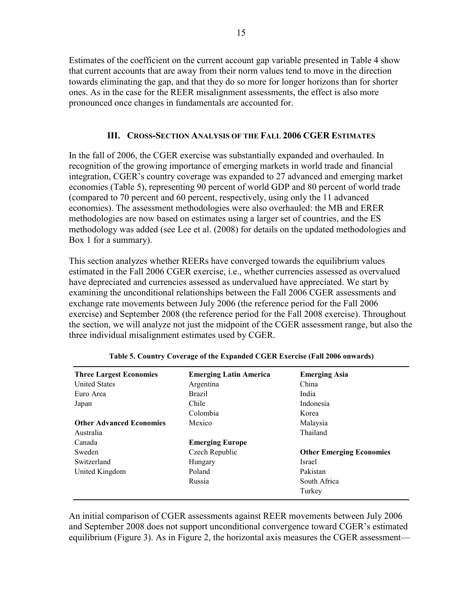Estimates of the coefficient on the current account gap variable presented in Table 4 show that current accounts that are away from their norm values tend to move in the direction towards eliminating the gap, and that they do so more for longer horizons than for shorter ones. As in the case for the REER misalignment assessments, the effect is also more pronounced once changes in fundamentals are accounted for.

## **III. CROSS-SECTION ANALYSIS OF THE FALL 2006 CGER ESTIMATES**

In the fall of 2006, the CGER exercise was substantially expanded and overhauled. In recognition of the growing importance of emerging markets in world trade and financial integration, CGER's country coverage was expanded to 27 advanced and emerging market economies (Table 5), representing 90 percent of world GDP and 80 percent of world trade (compared to 70 percent and 60 percent, respectively, using only the 11 advanced economies). The assessment methodologies were also overhauled: the MB and ERER methodologies are now based on estimates using a larger set of countries, and the ES methodology was added (see Lee et al. (2008) for details on the updated methodologies and Box 1 for a summary).

This section analyzes whether REERs have converged towards the equilibrium values estimated in the Fall 2006 CGER exercise, i.e., whether currencies assessed as overvalued have depreciated and currencies assessed as undervalued have appreciated. We start by examining the unconditional relationships between the Fall 2006 CGER assessments and exchange rate movements between July 2006 (the reference period for the Fall 2006 exercise) and September 2008 (the reference period for the Fall 2008 exercise). Throughout the section, we will analyze not just the midpoint of the CGER assessment range, but also the three individual misalignment estimates used by CGER.

| <b>Three Largest Economies</b>  | <b>Emerging Latin America</b> | <b>Emerging Asia</b>            |
|---------------------------------|-------------------------------|---------------------------------|
| <b>United States</b>            | Argentina                     | China                           |
| Euro Area                       | <b>Brazil</b>                 | India                           |
| Japan                           | Chile                         | Indonesia                       |
|                                 | Colombia                      | Korea                           |
| <b>Other Advanced Economies</b> | Mexico                        | Malaysia                        |
| Australia                       |                               | Thailand                        |
| Canada                          | <b>Emerging Europe</b>        |                                 |
| Sweden                          | Czech Republic                | <b>Other Emerging Economies</b> |
| Switzerland                     | Hungary                       | <b>Israel</b>                   |
| United Kingdom                  | Poland                        | Pakistan                        |
|                                 | Russia                        | South Africa                    |
|                                 |                               | Turkey                          |

| Table 5. Country Coverage of the Expanded CGER Exercise (Fall 2006 onwards) |  |  |  |
|-----------------------------------------------------------------------------|--|--|--|
|                                                                             |  |  |  |

An initial comparison of CGER assessments against REER movements between July 2006 and September 2008 does not support unconditional convergence toward CGER's estimated equilibrium (Figure 3). As in Figure 2, the horizontal axis measures the CGER assessment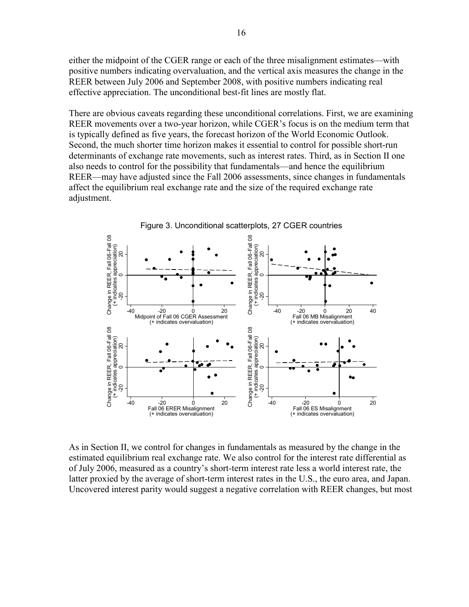either the midpoint of the CGER range or each of the three misalignment estimates—with positive numbers indicating overvaluation, and the vertical axis measures the change in the REER between July 2006 and September 2008, with positive numbers indicating real effective appreciation. The unconditional best-fit lines are mostly flat.

There are obvious caveats regarding these unconditional correlations. First, we are examining REER movements over a two-year horizon, while CGER's focus is on the medium term that is typically defined as five years, the forecast horizon of the World Economic Outlook. Second, the much shorter time horizon makes it essential to control for possible short-run determinants of exchange rate movements, such as interest rates. Third, as in Section II one also needs to control for the possibility that fundamentals—and hence the equilibrium REER—may have adjusted since the Fall 2006 assessments, since changes in fundamentals affect the equilibrium real exchange rate and the size of the required exchange rate adjustment.



As in Section II, we control for changes in fundamentals as measured by the change in the estimated equilibrium real exchange rate. We also control for the interest rate differential as of July 2006, measured as a country's short-term interest rate less a world interest rate, the latter proxied by the average of short-term interest rates in the U.S., the euro area, and Japan. Uncovered interest parity would suggest a negative correlation with REER changes, but most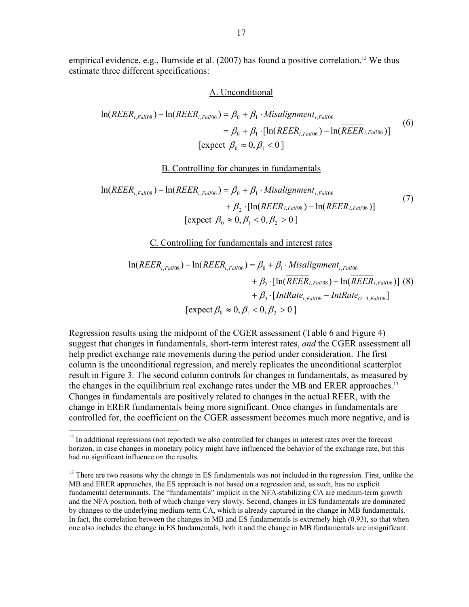empirical evidence, e.g., Burnside et al.  $(2007)$  has found a positive correlation.<sup>12</sup> We thus estimate three different specifications:

#### A. Unconditional

$$
\ln(REER_{i, Fall08}) - \ln(REER_{i, Fall06}) = \beta_0 + \beta_1 \cdot Misalignment_{i, Fall06}
$$

$$
= \beta_0 + \beta_1 \cdot [\ln(REER_{i, Fall06}) - \ln(REER_{i, Fall06})]
$$
(6)
$$
[\text{expect } \beta_0 \approx 0, \beta_1 < 0]
$$

#### B. Controlling for changes in fundamentals

$$
\ln(REER_{i,Fall08}) - \ln(REER_{i, Fall06}) = \beta_0 + \beta_1 \cdot Misalignment_{i, Fall06} + \beta_2 \cdot [\ln(REER_{i, Fall08}) - \ln(REER_{i, Fall06})] [expect \ \beta_0 \approx 0, \beta_1 < 0, \beta_2 > 0 ]
$$
\n
$$
(7)
$$

C. Controlling for fundamentals and interest rates

$$
\ln(REER_{i, Fal08}) - \ln(REER_{i, Fal106}) = \beta_0 + \beta_1 \cdot Misalignment_{i, Fal106} + \beta_2 \cdot [\ln(REER_{i, Fal108}) - \ln(REER_{i, Fal106})]
$$
(8)  
+  $\beta_3 \cdot [IntRate_{i, Fal106} - IntRate_{G-3, Fal106}]$   
[expect  $\beta_0 \approx 0, \beta_1 < 0, \beta_2 > 0$ ]

Regression results using the midpoint of the CGER assessment (Table 6 and Figure 4) suggest that changes in fundamentals, short-term interest rates, *and* the CGER assessment all help predict exchange rate movements during the period under consideration. The first column is the unconditional regression, and merely replicates the unconditional scatterplot result in Figure 3. The second column controls for changes in fundamentals, as measured by the changes in the equilibrium real exchange rates under the MB and ERER approaches.<sup>13</sup> Changes in fundamentals are positively related to changes in the actual REER, with the change in ERER fundamentals being more significant. Once changes in fundamentals are controlled for, the coefficient on the CGER assessment becomes much more negative, and is

<u>.</u>

 $12$  In additional regressions (not reported) we also controlled for changes in interest rates over the forecast horizon, in case changes in monetary policy might have influenced the behavior of the exchange rate, but this had no significant influence on the results.

<sup>&</sup>lt;sup>13</sup> There are two reasons why the change in ES fundamentals was not included in the regression. First, unlike the MB and ERER approaches, the ES approach is not based on a regression and, as such, has no explicit fundamental determinants. The "fundamentals" implicit in the NFA-stabilizing CA are medium-term growth and the NFA position, both of which change very slowly. Second, changes in ES fundamentals are dominated by changes to the underlying medium-term CA, which is already captured in the change in MB fundamentals. In fact, the correlation between the changes in MB and ES fundamentals is extremely high (0.93), so that when one also includes the change in ES fundamentals, both it and the change in MB fundamentals are insignificant.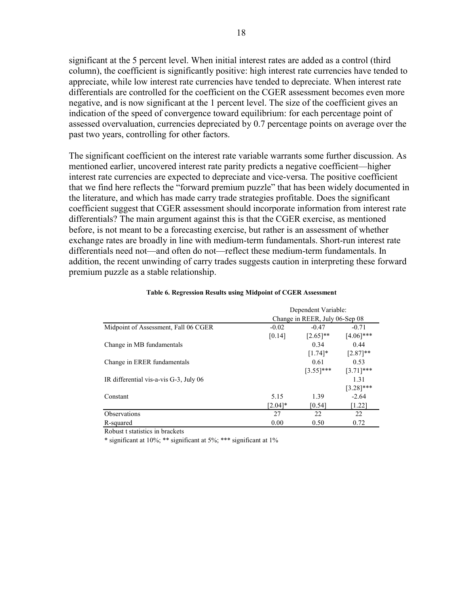significant at the 5 percent level. When initial interest rates are added as a control (third column), the coefficient is significantly positive: high interest rate currencies have tended to appreciate, while low interest rate currencies have tended to depreciate. When interest rate differentials are controlled for the coefficient on the CGER assessment becomes even more negative, and is now significant at the 1 percent level. The size of the coefficient gives an indication of the speed of convergence toward equilibrium: for each percentage point of assessed overvaluation, currencies depreciated by 0.7 percentage points on average over the past two years, controlling for other factors.

The significant coefficient on the interest rate variable warrants some further discussion. As mentioned earlier, uncovered interest rate parity predicts a negative coefficient—higher interest rate currencies are expected to depreciate and vice-versa. The positive coefficient that we find here reflects the "forward premium puzzle" that has been widely documented in the literature, and which has made carry trade strategies profitable. Does the significant coefficient suggest that CGER assessment should incorporate information from interest rate differentials? The main argument against this is that the CGER exercise, as mentioned before, is not meant to be a forecasting exercise, but rather is an assessment of whether exchange rates are broadly in line with medium-term fundamentals. Short-run interest rate differentials need not—and often do not—reflect these medium-term fundamentals. In addition, the recent unwinding of carry trades suggests caution in interpreting these forward premium puzzle as a stable relationship.

|                                        | Dependent Variable:            |                    |              |  |  |  |
|----------------------------------------|--------------------------------|--------------------|--------------|--|--|--|
|                                        | Change in REER, July 06-Sep 08 |                    |              |  |  |  |
| Midpoint of Assessment, Fall 06 CGER   | $-0.02$                        | $-0.47$<br>$-0.71$ |              |  |  |  |
|                                        | [0.14]                         | $[2.65]$ **        | $[4.06]$ *** |  |  |  |
| Change in MB fundamentals              |                                | 0.34               | 0.44         |  |  |  |
|                                        |                                | $[1.74]$ *         | $[2.87]$ **  |  |  |  |
| Change in ERER fundamentals            |                                | 0.61               | 0.53         |  |  |  |
|                                        |                                | $[3.55]$ ***       | $[3.71]$ *** |  |  |  |
| IR differential vis-a-vis G-3, July 06 |                                |                    | 1.31         |  |  |  |
|                                        |                                |                    | $[3.28]$ *** |  |  |  |
| Constant                               | 5.15                           | 1.39               | $-2.64$      |  |  |  |
|                                        | $[2.04]*$                      | [0.54]             | [1.22]       |  |  |  |
| <b>Observations</b>                    | 27                             | 22                 | 22           |  |  |  |
| R-squared                              | 0.00                           | 0.50               | 0.72         |  |  |  |

#### **Table 6. Regression Results using Midpoint of CGER Assessment**

Dependent Variable:

Robust t statistics in brackets

\* significant at 10%; \*\* significant at 5%; \*\*\* significant at 1%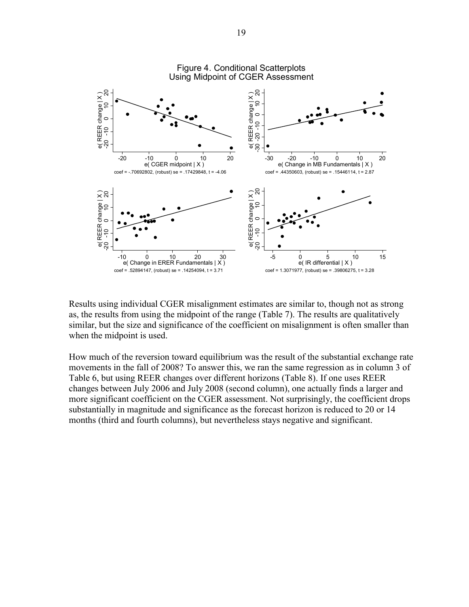

Results using individual CGER misalignment estimates are similar to, though not as strong as, the results from using the midpoint of the range (Table 7). The results are qualitatively similar, but the size and significance of the coefficient on misalignment is often smaller than when the midpoint is used.

How much of the reversion toward equilibrium was the result of the substantial exchange rate movements in the fall of 2008? To answer this, we ran the same regression as in column 3 of Table 6, but using REER changes over different horizons (Table 8). If one uses REER changes between July 2006 and July 2008 (second column), one actually finds a larger and more significant coefficient on the CGER assessment. Not surprisingly, the coefficient drops substantially in magnitude and significance as the forecast horizon is reduced to 20 or 14 months (third and fourth columns), but nevertheless stays negative and significant.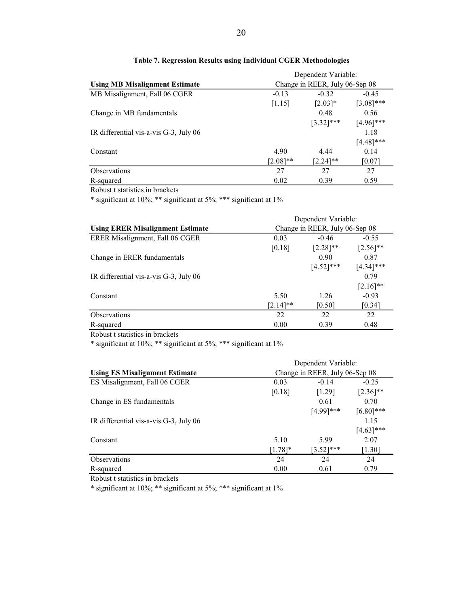|                                        | Dependent Variable: |                                |              |  |  |  |
|----------------------------------------|---------------------|--------------------------------|--------------|--|--|--|
| <b>Using MB Misalignment Estimate</b>  |                     | Change in REER, July 06-Sep 08 |              |  |  |  |
| MB Misalignment, Fall 06 CGER          | $-0.13$             | $-0.32$<br>$-0.45$             |              |  |  |  |
|                                        | [1.15]              | $[2.03]*$                      | $[3.08]$ *** |  |  |  |
| Change in MB fundamentals              |                     | 0.48                           | 0.56         |  |  |  |
|                                        |                     | $[3.32]$ ***                   | $[4.96]$ *** |  |  |  |
| IR differential vis-a-vis G-3, July 06 |                     |                                | 1.18         |  |  |  |
|                                        |                     |                                | $[4.48]$ *** |  |  |  |
| Constant                               | 4.90                | 4.44                           | 0.14         |  |  |  |
|                                        | $[2.08]**$          | $[2.24]$ **                    | [0.07]       |  |  |  |
| <b>Observations</b>                    | 27                  | 27                             | 27           |  |  |  |
| R-squared                              | 0.02                | 0.39                           | 0.59         |  |  |  |

#### **Table 7. Regression Results using Individual CGER Methodologies**

Robust t statistics in brackets

\* significant at 10%; \*\* significant at 5%; \*\*\* significant at 1%

|                                         | Dependent Variable: |                                |              |  |  |  |
|-----------------------------------------|---------------------|--------------------------------|--------------|--|--|--|
| <b>Using ERER Misalignment Estimate</b> |                     | Change in REER, July 06-Sep 08 |              |  |  |  |
| ERER Misalignment, Fall 06 CGER         | 0.03                | $-0.46$<br>$-0.55$             |              |  |  |  |
|                                         | [0.18]              | $[2.28]$ **                    | $[2.56]$ **  |  |  |  |
| Change in ERER fundamentals             |                     | 0.90                           | 0.87         |  |  |  |
|                                         |                     | $[4.52]$ ***                   | $[4.34]$ *** |  |  |  |
| IR differential vis-a-vis G-3, July 06  |                     |                                | 0.79         |  |  |  |
|                                         |                     |                                | $[2.16]$ **  |  |  |  |
| Constant                                | 5.50                | 1.26                           | $-0.93$      |  |  |  |
|                                         | $[2.14]$ **         | [0.50]                         | [0.34]       |  |  |  |
| <b>Observations</b>                     | 22                  | 22                             | 22           |  |  |  |
| R-squared                               | 0.00                | 0.39                           | 0.48         |  |  |  |

Robust t statistics in brackets

\* significant at 10%; \*\* significant at 5%; \*\*\* significant at 1%

|                                           | Dependent Variable:            |              |              |  |
|-------------------------------------------|--------------------------------|--------------|--------------|--|
| <b>Using ES Misalignment Estimate</b>     | Change in REER, July 06-Sep 08 |              |              |  |
| ES Misalignment, Fall 06 CGER             | 0.03                           | $-0.25$      |              |  |
|                                           | [0.18]                         | [1.29]       | $[2.36]$ **  |  |
| Change in ES fundamentals                 |                                | 0.61         | 0.70         |  |
|                                           |                                | $[4.99]$ *** | $[6.80]$ *** |  |
| IR differential vis-a-vis $G-3$ , July 06 |                                |              | 1.15         |  |
|                                           |                                |              | $[4.63]$ *** |  |
| Constant                                  | 5.10                           | 5.99         | 2.07         |  |
|                                           | $[1.78]$ *                     | $[3.52]$ *** | [1.30]       |  |
| <b>Observations</b>                       | 24                             | 24           | 24           |  |
| R-squared                                 | 0.00                           | 0.61         | 0.79         |  |

Robust t statistics in brackets

\* significant at 10%; \*\* significant at 5%; \*\*\* significant at 1%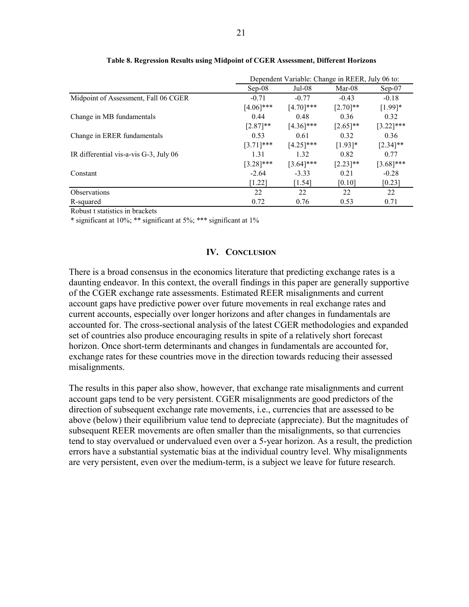|                                        | Dependent Variable: Change in REER, July 06 to: |              |             |              |
|----------------------------------------|-------------------------------------------------|--------------|-------------|--------------|
|                                        | $Sep-08$                                        | $Jul-08$     | $Mar-08$    | $Sep-07$     |
| Midpoint of Assessment, Fall 06 CGER   | $-0.71$                                         | $-0.77$      | $-0.43$     | $-0.18$      |
|                                        | $[4.06]$ ***                                    | $[4.70]$ *** | $[2.70]$ ** | $[1.99]*$    |
| Change in MB fundamentals              | 0.44                                            | 0.48         | 0.36        | 0.32         |
|                                        | $[2.87]$ **                                     | $[4.36]$ *** | $[2.65]$ ** | $[3.22]$ *** |
| Change in ERER fundamentals            | 0.53                                            | 0.61         | 0.32        | 0.36         |
|                                        | $[3.71]$ ***                                    | $[4.25]$ *** | $[1.93]*$   | $[2.34]$ **  |
| IR differential vis-a-vis G-3, July 06 | 1.31                                            | 1.32         | 0.82        | 0.77         |
|                                        | $[3.28]$ ***                                    | $[3.64]$ *** | $[2.23]$ ** | $[3.68]$ *** |
| Constant                               | $-2.64$                                         | $-3.33$      | 0.21        | $-0.28$      |
|                                        | $[1.22]$                                        | [1.54]       | [0.10]      | [0.23]       |
| <b>Observations</b>                    | 22                                              | 22           | 22          | 22           |
| R-squared                              | 0.72                                            | 0.76         | 0.53        | 0.71         |

#### **Table 8. Regression Results using Midpoint of CGER Assessment, Different Horizons**

Robust t statistics in brackets

\* significant at 10%; \*\* significant at 5%; \*\*\* significant at 1%

#### **IV. CONCLUSION**

There is a broad consensus in the economics literature that predicting exchange rates is a daunting endeavor. In this context, the overall findings in this paper are generally supportive of the CGER exchange rate assessments. Estimated REER misalignments and current account gaps have predictive power over future movements in real exchange rates and current accounts, especially over longer horizons and after changes in fundamentals are accounted for. The cross-sectional analysis of the latest CGER methodologies and expanded set of countries also produce encouraging results in spite of a relatively short forecast horizon. Once short-term determinants and changes in fundamentals are accounted for, exchange rates for these countries move in the direction towards reducing their assessed misalignments.

The results in this paper also show, however, that exchange rate misalignments and current account gaps tend to be very persistent. CGER misalignments are good predictors of the direction of subsequent exchange rate movements, i.e., currencies that are assessed to be above (below) their equilibrium value tend to depreciate (appreciate). But the magnitudes of subsequent REER movements are often smaller than the misalignments, so that currencies tend to stay overvalued or undervalued even over a 5-year horizon. As a result, the prediction errors have a substantial systematic bias at the individual country level. Why misalignments are very persistent, even over the medium-term, is a subject we leave for future research.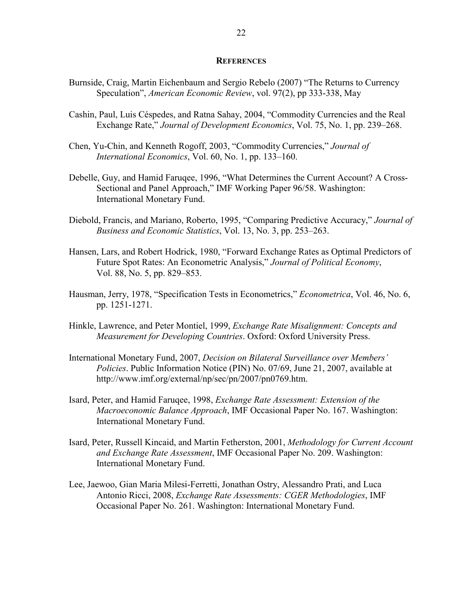#### **REFERENCES**

- Burnside, Craig, Martin Eichenbaum and Sergio Rebelo (2007) "The Returns to Currency Speculation", *American Economic Review*, vol. 97(2), pp 333-338, May
- Cashin, Paul, Luis Céspedes, and Ratna Sahay, 2004, "Commodity Currencies and the Real Exchange Rate," *Journal of Development Economics*, Vol. 75, No. 1, pp. 239–268.
- Chen, Yu-Chin, and Kenneth Rogoff, 2003, "Commodity Currencies," *Journal of International Economics*, Vol. 60, No. 1, pp. 133–160.
- Debelle, Guy, and Hamid Faruqee, 1996, "What Determines the Current Account? A Cross-Sectional and Panel Approach," IMF Working Paper 96/58. Washington: International Monetary Fund.
- Diebold, Francis, and Mariano, Roberto, 1995, "Comparing Predictive Accuracy," *Journal of Business and Economic Statistics*, Vol. 13, No. 3, pp. 253–263.
- Hansen, Lars, and Robert Hodrick, 1980, "Forward Exchange Rates as Optimal Predictors of Future Spot Rates: An Econometric Analysis," *Journal of Political Economy*, Vol. 88, No. 5, pp. 829–853.
- Hausman, Jerry, 1978, "Specification Tests in Econometrics," *Econometrica*, Vol. 46, No. 6, pp. 1251-1271.
- Hinkle, Lawrence, and Peter Montiel, 1999, *Exchange Rate Misalignment: Concepts and Measurement for Developing Countries*. Oxford: Oxford University Press.
- International Monetary Fund, 2007, *Decision on Bilateral Surveillance over Members' Policies*. Public Information Notice (PIN) No. 07/69, June 21, 2007, available at http://www.imf.org/external/np/sec/pn/2007/pn0769.htm.
- Isard, Peter, and Hamid Faruqee, 1998, *Exchange Rate Assessment: Extension of the Macroeconomic Balance Approach*, IMF Occasional Paper No. 167. Washington: International Monetary Fund.
- Isard, Peter, Russell Kincaid, and Martin Fetherston, 2001, *Methodology for Current Account and Exchange Rate Assessment*, IMF Occasional Paper No. 209. Washington: International Monetary Fund.
- Lee, Jaewoo, Gian Maria Milesi-Ferretti, Jonathan Ostry, Alessandro Prati, and Luca Antonio Ricci, 2008, *Exchange Rate Assessments: CGER Methodologies*, IMF Occasional Paper No. 261. Washington: International Monetary Fund.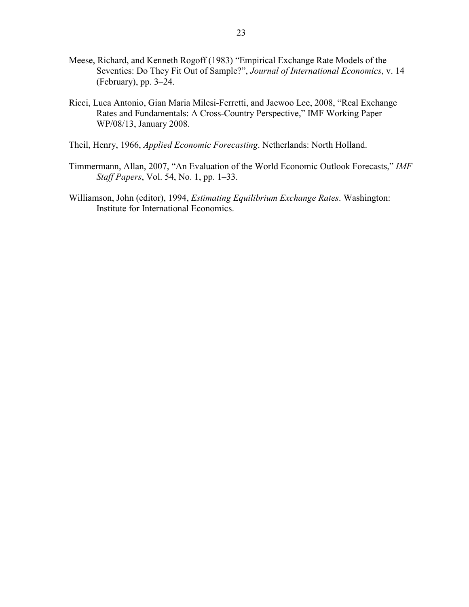- Meese, Richard, and Kenneth Rogoff (1983) "Empirical Exchange Rate Models of the Seventies: Do They Fit Out of Sample?", *Journal of International Economics*, v. 14 (February), pp. 3–24.
- Ricci, Luca Antonio, Gian Maria Milesi-Ferretti, and Jaewoo Lee, 2008, "Real Exchange Rates and Fundamentals: A Cross-Country Perspective," IMF Working Paper WP/08/13, January 2008.
- Theil, Henry, 1966, *Applied Economic Forecasting*. Netherlands: North Holland.
- Timmermann, Allan, 2007, "An Evaluation of the World Economic Outlook Forecasts," *IMF Staff Papers*, Vol. 54, No. 1, pp. 1–33.
- Williamson, John (editor), 1994, *Estimating Equilibrium Exchange Rates*. Washington: Institute for International Economics.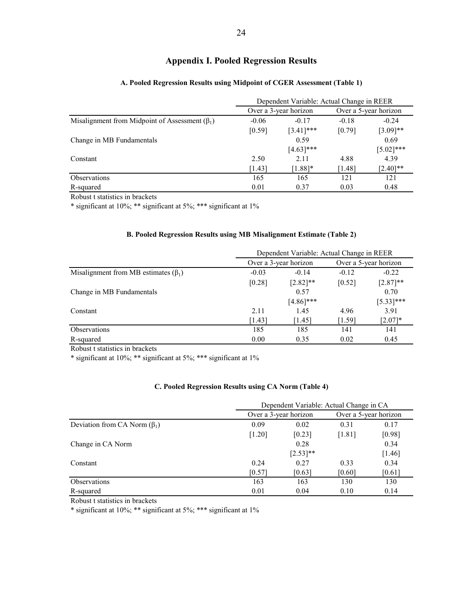## **Appendix I. Pooled Regression Results**

|                                                      | Dependent Variable: Actual Change in REER |                       |         |                       |  |
|------------------------------------------------------|-------------------------------------------|-----------------------|---------|-----------------------|--|
| Misalignment from Midpoint of Assessment $(\beta_1)$ |                                           | Over a 3-year horizon |         | Over a 5-year horizon |  |
|                                                      | $-0.06$                                   | $-0.17$               | $-0.18$ | $-0.24$               |  |
|                                                      | [0.59]                                    | $[3.41]$ ***          | [0.79]  | $[3.09]$ **           |  |
| Change in MB Fundamentals                            |                                           | 0.59                  |         | 0.69                  |  |
|                                                      |                                           | $[4.63]$ ***          |         | $[5.02]$ ***          |  |
| Constant                                             | 2.50                                      | 2.11                  | 4.88    | 4.39                  |  |
|                                                      | [1.43]                                    | $[1.88]$ *            | [1.48]  | $[2.40]$ **           |  |
| <b>Observations</b>                                  | 165                                       | 165                   | 121     | 121                   |  |
| R-squared                                            | 0.01                                      | 0.37                  | 0.03    | 0.48                  |  |

#### **A. Pooled Regression Results using Midpoint of CGER Assessment (Table 1)**

Robust t statistics in brackets

\* significant at 10%; \*\* significant at 5%; \*\*\* significant at 1%

#### **B. Pooled Regression Results using MB Misalignment Estimate (Table 2)**

|                                            | Dependent Variable: Actual Change in REER |              |                       |             |
|--------------------------------------------|-------------------------------------------|--------------|-----------------------|-------------|
|                                            | Over a 3-year horizon                     |              | Over a 5-year horizon |             |
| Misalignment from MB estimates $(\beta_1)$ | $-0.03$                                   | $-0.14$      | $-0.12$               | $-0.22$     |
|                                            | [0.28]                                    | $[2.82]$ **  | [0.52]                | $[2.87]**$  |
| Change in MB Fundamentals                  |                                           | 0.57         |                       | 0.70        |
|                                            |                                           | $[4.86]$ *** |                       | $[5.33]***$ |
| Constant                                   | 2.11                                      | 1.45         | 4.96                  | 3.91        |
|                                            | [1.43]                                    | [1.45]       | [1.59]                | $[2.07]*$   |
| <b>Observations</b>                        | 185                                       | 185          | 141                   | 141         |
| R-squared                                  | 0.00                                      | 0.35         | 0.02                  | 0.45        |

Robust t statistics in brackets

\* significant at 10%; \*\* significant at 5%; \*\*\* significant at 1%

#### **C. Pooled Regression Results using CA Norm (Table 4)**

|                                    | Dependent Variable: Actual Change in CA |             |                       |          |
|------------------------------------|-----------------------------------------|-------------|-----------------------|----------|
|                                    | Over a 3-year horizon                   |             | Over a 5-year horizon |          |
| Deviation from CA Norm $(\beta_1)$ | 0.09                                    | 0.02        | 0.31                  | 0.17     |
|                                    | $[1.20]$                                | $[0.23]$    | [1.81]                | [0.98]   |
| Change in CA Norm                  |                                         | 0.28        |                       | 0.34     |
|                                    |                                         | $[2.53]$ ** |                       | $[1.46]$ |
| Constant                           | 0.24                                    | 0.27        | 0.33                  | 0.34     |
|                                    | [0.57]                                  | [0.63]      | [0.60]                | [0.61]   |
| <b>Observations</b>                | 163                                     | 163         | 130                   | 130      |
| R-squared                          | 0.01                                    | 0.04        | 0.10                  | 0.14     |

Robust t statistics in brackets

\* significant at 10%; \*\* significant at 5%; \*\*\* significant at 1%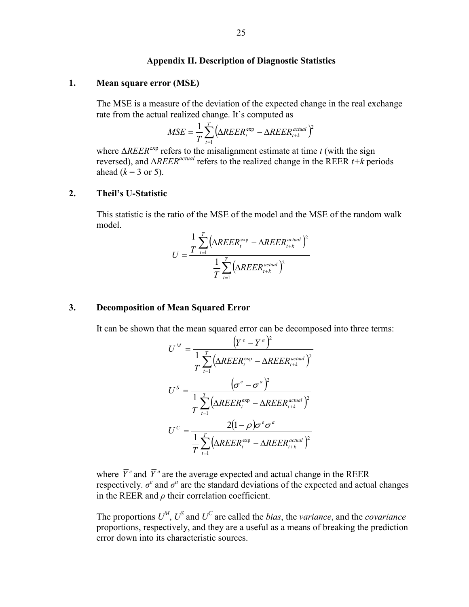#### **Appendix II. Description of Diagnostic Statistics**

#### **1. Mean square error (MSE)**

 The MSE is a measure of the deviation of the expected change in the real exchange rate from the actual realized change. It's computed as

$$
MSE = \frac{1}{T} \sum_{t=1}^{T} \left( \Delta R E E R_t^{\text{exp}} - \Delta R E E R_{t+k}^{\text{actual}} \right)^2
$$

where  $\Delta R E E R^{\exp}$  refers to the misalignment estimate at time *t* (with the sign reversed), and Δ*REERactual* refers to the realized change in the REER *t+k* periods ahead  $(k = 3 \text{ or } 5)$ .

#### **2. Theil's U-Statistic**

 This statistic is the ratio of the MSE of the model and the MSE of the random walk model.

$$
U = \frac{\frac{1}{T} \sum_{t=1}^{T} (\Delta R E E R_t^{\text{exp}} - \Delta R E E R_{t+k}^{\text{actual}})^2}{\frac{1}{T} \sum_{t=1}^{T} (\Delta R E E R_{t+k}^{\text{actual}})^2}
$$

#### **3. Decomposition of Mean Squared Error**

It can be shown that the mean squared error can be decomposed into three terms:

$$
U^{M} = \frac{(\overline{Y}^{e} - \overline{Y}^{a})^{2}}{\frac{1}{T} \sum_{t=1}^{T} (\Delta REER_{t}^{exp} - \Delta REER_{t+k}^{actual})^{2}}
$$

$$
U^{S} = \frac{(\sigma^{e} - \sigma^{a})^{2}}{\frac{1}{T} \sum_{t=1}^{T} (\Delta REER_{t}^{exp} - \Delta REER_{t+k}^{actual})^{2}}
$$

$$
U^{C} = \frac{2(1 - \rho)\sigma^{e}\sigma^{a}}{\frac{1}{T} \sum_{t=1}^{T} (\Delta REER_{t}^{exp} - \Delta REER_{t+k}^{actual})^{2}}
$$

where  $\overline{Y}^e$  and  $\overline{Y}^a$  are the average expected and actual change in the REER respectively.  $\sigma^e$  and  $\sigma^a$  are the standard deviations of the expected and actual changes in the REER and  $\rho$  their correlation coefficient.

The proportions  $U^M$ ,  $U^S$  and  $U^C$  are called the *bias*, the *variance*, and the *covariance* proportions, respectively, and they are a useful as a means of breaking the prediction error down into its characteristic sources.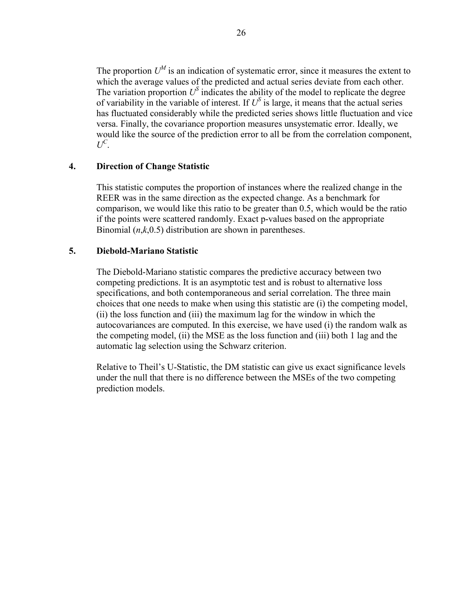The proportion  $U^M$  is an indication of systematic error, since it measures the extent to which the average values of the predicted and actual series deviate from each other. The variation proportion  $U^S$  indicates the ability of the model to replicate the degree of variability in the variable of interest. If  $U^S$  is large, it means that the actual series has fluctuated considerably while the predicted series shows little fluctuation and vice versa. Finally, the covariance proportion measures unsystematic error. Ideally, we would like the source of the prediction error to all be from the correlation component,  $U^C$ .

## **4. Direction of Change Statistic**

This statistic computes the proportion of instances where the realized change in the REER was in the same direction as the expected change. As a benchmark for comparison, we would like this ratio to be greater than 0.5, which would be the ratio if the points were scattered randomly. Exact p-values based on the appropriate Binomial (*n*,*k*,0.5) distribution are shown in parentheses.

## **5. Diebold-Mariano Statistic**

 The Diebold-Mariano statistic compares the predictive accuracy between two competing predictions. It is an asymptotic test and is robust to alternative loss specifications, and both contemporaneous and serial correlation. The three main choices that one needs to make when using this statistic are (i) the competing model, (ii) the loss function and (iii) the maximum lag for the window in which the autocovariances are computed. In this exercise, we have used (i) the random walk as the competing model, (ii) the MSE as the loss function and (iii) both 1 lag and the automatic lag selection using the Schwarz criterion.

 Relative to Theil's U-Statistic, the DM statistic can give us exact significance levels under the null that there is no difference between the MSEs of the two competing prediction models.